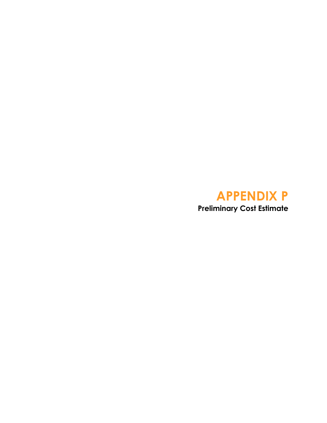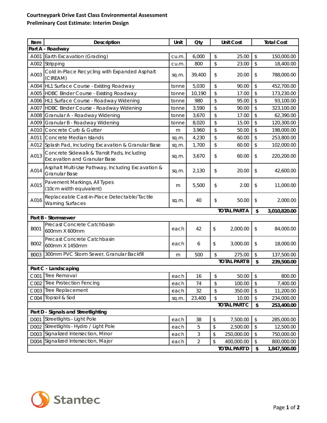## **Courtneypark Drive East Class Environmental Assessment Preliminary Cost Estimate: Interim Design**

| Item                | Description                                                                        | Unit  | <b>Oty</b>     |    | <b>Unit Cost</b>                  |          | <b>Total Cost</b>          |
|---------------------|------------------------------------------------------------------------------------|-------|----------------|----|-----------------------------------|----------|----------------------------|
|                     | Part A - Roadway                                                                   |       |                |    |                                   |          |                            |
| A001                | Earth Excavation (Grading)                                                         | cu.m. | 6,000          | \$ | 25.00                             | \$       | 150,000.00                 |
| A002                | Stripping                                                                          | cu.m. | 800            | \$ | 23.00                             | \$       | 18,400.00                  |
| A003                | Cold In-Place Recycling with Expanded Asphalt<br>(CIREAM)                          | sq.m. | 39,400         | \$ | 20.00                             | \$       | 788,000.00                 |
| A004                | HL1 Surface Course - Existing Roadway                                              | tonne | 5,030          | \$ | 90.00                             | \$       | 452,700.00                 |
| A005                | HDBC Binder Course - Existing Roadway                                              | tonne | 10,190         | \$ | 17.00                             | \$       | 173,230.00                 |
| A006                | HL1 Surface Course - Roadway Widening                                              | tonne | 980            | \$ | 95.00                             | \$       | 93,100.00                  |
| A007                | HDBC Binder Course - Roadway Widening                                              | tonne | 3,590          | \$ | 90.00                             | \$       | 323,100.00                 |
| A008                | Granular A - Roadway Widening                                                      | tonne | 3,670          | \$ | 17.00                             | \$       | 62,390.00                  |
| A009                | Granular B - Roadway Widening                                                      | tonne | 8,020          | \$ | 15.00                             | \$       | 120,300.00                 |
| A010                | Concrete Curb & Gutter                                                             | m     | 3,960          | \$ | 50.00                             | \$       | 198,000.00                 |
| A011                | Concrete Median Islands                                                            | sq.m. | 4,230          | \$ | 60.00                             | \$       | 253,800.00                 |
| A012                | Splash Pad, Including Excavation & Granular Base                                   | sq.m. | 1,700          | \$ | 60.00                             | \$       | 102,000.00                 |
| A013                | Concrete Sidewalk & Transit Pads, Including<br><b>Excavation and Granular Base</b> | sq.m. | 3,670          | \$ | 60.00                             | \$       | 220,200.00                 |
| A014                | Asphalt Multi-Use Pathway, Including Excavation &<br><b>Granular Base</b>          | sq.m. | 2,130          | \$ | 20.00                             | \$       | 42,600.00                  |
| A015                | Pavement Markings, All Types<br>(10cm width equivalent)                            | m     | 5,500          | \$ | 2.00                              | \$       | 11,000.00                  |
| A016                | Replaceable Cast-in-Place Detectable/Tactile<br><b>Warning Surfaces</b>            | sq.m. | 40             | \$ | 50.00                             | \$       | 2,000.00                   |
|                     |                                                                                    |       |                |    | <b>TOTAL PART A</b>               | \$       | 3,010,820.00               |
|                     | Part B - Stormsewer                                                                |       |                |    |                                   |          |                            |
| <b>B001</b>         | Precast Concrete Catchbasin<br>600mm X 600mm                                       | each  | 42             | \$ | 2,000.00                          | \$       | 84,000.00                  |
| B002                | Precast Concrete Catchbasin<br>600mm X 1450mm                                      | each  | 6              | \$ | 3,000.00                          | \$       | 18,000.00                  |
| B003                | 300mm PVC Storm Sewer, Granular Backfill                                           | m     | 500            | \$ | 275.00                            | \$       | 137,500.00                 |
| <b>TOTAL PART B</b> |                                                                                    |       |                |    |                                   |          | 239,500.00                 |
|                     | Part C - Landscaping                                                               |       |                |    |                                   |          |                            |
|                     | C001 Tree Removal                                                                  | each  | 16             | \$ | $50.00$ \$                        |          | 800.00                     |
|                     | C002 Tree Protection Fencing                                                       | each  | 74             | \$ | 100.00                            | \$       | 7,400.00                   |
|                     | C003 Tree Replacement                                                              | each  | 32             | \$ | 350.00                            | \$       | 11,200.00                  |
|                     | C004 Topsoil & Sod                                                                 | sq.m. | 23,400         | \$ | 10.00                             | \$<br>\$ | 234,000.00                 |
| <b>TOTAL PART C</b> |                                                                                    |       |                |    |                                   |          | 253,400.00                 |
|                     | Part D - Signals and Streetlighting                                                |       |                |    |                                   |          |                            |
| D001                | Streetlights - Light Pole                                                          | each  | 38             | \$ | 7,500.00                          | \$       | 285,000.00                 |
| D002                | Streetlights - Hydro / Light Pole<br>D003 Signalized Intersection, Minor           | each  | 5              | \$ | 2,500.00                          | \$       | 12,500.00                  |
|                     |                                                                                    | each  | 3              | \$ | 250,000.00                        | \$       | 750,000.00                 |
|                     |                                                                                    |       |                |    |                                   |          |                            |
| D004                | Signalized Intersection, Major                                                     | each  | $\overline{2}$ | \$ | 400,000.00<br><b>TOTAL PART D</b> | \$<br>\$ | 800,000.00<br>1,847,500.00 |

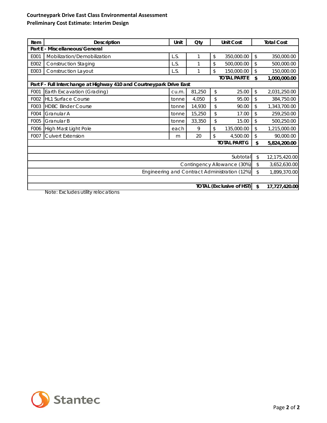## **Courtneypark Drive East Class Environmental Assessment Preliminary Cost Estimate: Interim Design**

| Item                                          | <b>Description</b>                                                   | Unit  | Qty    |    | <b>Unit Cost</b>    |               | <b>Total Cost</b> |  |
|-----------------------------------------------|----------------------------------------------------------------------|-------|--------|----|---------------------|---------------|-------------------|--|
| Part E - Miscellaneous/General                |                                                                      |       |        |    |                     |               |                   |  |
| E001                                          | Mobilization/Demobilization                                          | L.S.  |        | \$ | 350,000.00          | \$            | 350,000.00        |  |
| E002                                          | <b>Construction Staging</b>                                          | L.S.  |        | \$ | 500,000.00          | \$            | 500,000.00        |  |
| E003                                          | <b>Construction Layout</b>                                           | L.S.  |        | \$ | 150,000.00          | \$            | 150,000.00        |  |
|                                               |                                                                      |       |        |    | <b>TOTAL PART E</b> | \$            | 1,000,000.00      |  |
|                                               | Part F - Full Interchange at Highway 410 and Courtneypark Drive East |       |        |    |                     |               |                   |  |
| F001                                          | Earth Excavation (Grading)                                           | cu.m. | 81,250 | \$ | 25.00               | \$            | 2,031,250.00      |  |
| F002                                          | <b>HL1 Surface Course</b>                                            | tonne | 4,050  | \$ | 95.00               | \$            | 384,750.00        |  |
| F003                                          | <b>HDBC Binder Course</b>                                            | tonne | 14,930 | \$ | 90.00               | $\mathcal{L}$ | 1,343,700.00      |  |
| F004                                          | Granular A                                                           | tonne | 15,250 | \$ | 17.00               | \$            | 259,250.00        |  |
| F005                                          | Granular B                                                           | tonne | 33,350 | \$ | 15.00               | \$            | 500,250.00        |  |
| F006                                          | High Mast Light Pole                                                 | each  | 9      | \$ | 135,000.00          | \$            | 1,215,000.00      |  |
| F007                                          | <b>Culvert Extension</b>                                             | m     | 20     | \$ | 4,500.00            | \$            | 90,000.00         |  |
|                                               |                                                                      |       |        |    | <b>TOTAL PART G</b> | \$            | 5,824,200.00      |  |
|                                               |                                                                      |       |        |    |                     |               |                   |  |
| Subtotal                                      |                                                                      |       |        |    |                     |               | 12,175,420.00     |  |
| Contingency Allowance (30%)                   |                                                                      |       |        |    |                     |               | 3,652,630.00      |  |
| Engineering and Contract Administration (12%) |                                                                      |       |        |    |                     |               | 1,899,370.00      |  |
|                                               |                                                                      |       |        |    |                     |               |                   |  |
| <b>TOTAL (Exclusive of HST)</b>               |                                                                      |       |        |    |                     |               | 17,727,420.00     |  |

Note: Excludes utility relocations

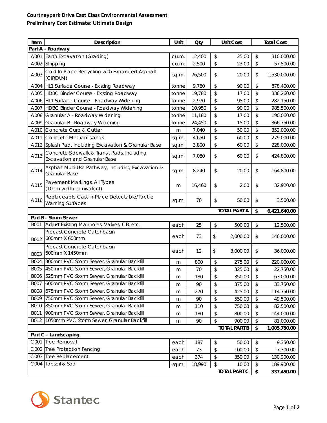## **Courtneypark Drive East Class Environmental Assessment Preliminary Cost Estimate: Ultimate Design**

| Part A - Roadway<br>Earth Excavation (Grading)<br>12,400<br>\$<br>\$<br>A001<br>25.00<br>310,000.00<br>cu.m.<br>\$<br>\$<br>A002<br>Stripping<br>2,500<br>23.00<br>57,500.00<br>cu.m.<br>Cold In-Place Recycling with Expanded Asphalt<br>A003<br>76,500<br>\$<br>20.00<br>1,530,000.00<br>\$<br>sq.m.<br>(CIREAM)<br>\$<br>HL1 Surface Course - Existing Roadway<br>9,760<br>90.00<br>\$<br>A004<br>878,400.00<br>tonne<br>\$<br>\$<br>HDBC Binder Course - Existing Roadway<br>19,780<br>A005<br>17.00<br>336,260.00<br>tonne<br>$\updownarrow$<br>\$<br>HL1 Surface Course - Roadway Widening<br>2,970<br>95.00<br>282,150.00<br>A006<br>tonne<br>\$<br>\$<br>HDBC Binder Course - Roadway Widening<br>A007<br>10,950<br>90.00<br>985,500.00<br>tonne<br>\$<br>\$<br>11,180<br>A008<br>Granular A - Roadway Widening<br>17.00<br>190,060.00<br>tonne<br>$\updownarrow$<br>\$<br>A009<br>Granular B - Roadway Widening<br>24,450<br>15.00<br>366,750.00<br>tonne<br>\$<br>\$<br>A010<br>Concrete Curb & Gutter<br>7,040<br>50.00<br>352,000.00<br>m<br>\$<br>\$<br>A011<br>Concrete Median Islands<br>4,650<br>60.00<br>279,000.00<br>sq.m.<br>\$<br>\$<br>Splash Pad, Including Excavation & Granular Base<br>3,800<br>60.00<br>228,000.00<br>A012<br>sq.m.<br>Concrete Sidewalk & Transit Pads, Including<br>A013<br>7,080<br>\$<br>\$<br>60.00<br>424,800.00<br>sq.m.<br><b>Excavation and Granular Base</b><br>Asphalt Multi-Use Pathway, Including Excavation &<br>A014<br>\$<br>8,240<br>\$<br>20.00<br>164,800.00<br>sq.m.<br>Granular Base<br>Pavement Markings, All Types<br>A015<br>\$<br>2.00<br>\$<br>16,460<br>32,920.00<br>m<br>(10cm width equivalent)<br>Replaceable Cast-in-Place Detectable/Tactile<br>A016<br>70<br>\$<br>\$<br>50.00<br>3,500.00<br>sq.m.<br><b>Warning Surfaces</b><br><b>TOTAL PART A</b><br>\$<br>6,421,640.00<br>Part B - Storm Sewer<br>Adjust Existing Manholes, Valves, CB, etc.<br>B001<br>25<br>\$<br>500.00<br>\$<br>12,500.00<br>each<br>Precast Concrete Catchbasin<br>73<br>\$<br>2,000.00<br>\$<br>146,000.00<br>each<br>600mm X 600mm<br>B002<br>Precast Concrete Catchbasin<br>\$<br>12<br>3,000.00<br>\$<br>36,000.00<br>each<br>600mm X 1450mm<br><b>B003</b><br>300mm PVC Storm Sewer, Granular Backfill<br><b>B004</b><br>\$<br>\$<br>800<br>275.00<br>220,000.00<br>m<br>450mm PVC Storm Sewer, Granular Backfill<br><b>B005</b><br>70<br>\$<br>\$<br>325.00<br>22,750.00<br>m<br>B006 525mm PVC Storm Sewer, Granular Backfill<br>$$\mathfrak{s}$$<br>\$<br>350.00<br>180<br>63,000.00<br>m<br>600mm PVC Storm Sewer, Granular Backfill<br><b>B007</b><br>\$<br>\$<br>90<br>375.00<br>33,750.00<br>m<br>675mm PVC Storm Sewer, Granular Backfill<br><b>B008</b><br>270<br>\$<br>425.00<br>\$<br>114,750.00<br>m<br><b>B009</b><br>750mm PVC Storm Sewer, Granular Backfill<br>\$<br>\$<br>90<br>550.00<br>49,500.00<br>m<br>850mm PVC Storm Sewer, Granular Backfill<br><b>B010</b><br>\$<br>\$<br>110<br>750.00<br>82,500.00<br>m<br>900mm PVC Storm Sewer, Granular Backfill<br>B011<br>\$<br>180<br>\$<br>800.00<br>144,000.00<br>m<br>1050mm PVC Storm Sewer, Granular Backfill<br>B012<br>\$<br>\$<br>90<br>900.00<br>81,000.00<br>m<br><b>TOTAL PART B</b><br>\$<br>1,005,750.00<br>Part C - Landscaping<br>C001 Tree Removal<br>$\,$<br>187<br>50.00<br>\$<br>9,350.00<br>each<br>C002<br><b>Tree Protection Fencing</b><br>\$<br>\$<br>73<br>100.00<br>7,300.00<br>each<br>Tree Replacement<br>C003<br>$\,$<br>\$<br>374<br>350.00<br>130,900.00<br>each<br>C004<br>Topsoil & Sod<br>18,990<br>\$<br>\$<br>189,900.00<br>10.00<br>sq.m.<br><b>TOTAL PART C</b><br>\$<br>337,450.00 | Item | Description | Unit | <b>Oty</b> |  | <b>Unit Cost</b> |  | <b>Total Cost</b> |
|--------------------------------------------------------------------------------------------------------------------------------------------------------------------------------------------------------------------------------------------------------------------------------------------------------------------------------------------------------------------------------------------------------------------------------------------------------------------------------------------------------------------------------------------------------------------------------------------------------------------------------------------------------------------------------------------------------------------------------------------------------------------------------------------------------------------------------------------------------------------------------------------------------------------------------------------------------------------------------------------------------------------------------------------------------------------------------------------------------------------------------------------------------------------------------------------------------------------------------------------------------------------------------------------------------------------------------------------------------------------------------------------------------------------------------------------------------------------------------------------------------------------------------------------------------------------------------------------------------------------------------------------------------------------------------------------------------------------------------------------------------------------------------------------------------------------------------------------------------------------------------------------------------------------------------------------------------------------------------------------------------------------------------------------------------------------------------------------------------------------------------------------------------------------------------------------------------------------------------------------------------------------------------------------------------------------------------------------------------------------------------------------------------------------------------------------------------------------------------------------------------------------------------------------------------------------------------------------------------------------------------------------------------------------------------------------------------------------------------------------------------------------------------------------------------------------------------------------------------------------------------------------------------------------------------------------------------------------------------------------------------------------------------------------------------------------------------------------------------------------------------------------------------------------------------------------------------------------------------------------------------------------------------------------------------------------------------------------------------------------------------------------------------------------------------------------------------------------------------------------------------------------------------------------------------------------------------------------------------------------------------------------------------|------|-------------|------|------------|--|------------------|--|-------------------|
|                                                                                                                                                                                                                                                                                                                                                                                                                                                                                                                                                                                                                                                                                                                                                                                                                                                                                                                                                                                                                                                                                                                                                                                                                                                                                                                                                                                                                                                                                                                                                                                                                                                                                                                                                                                                                                                                                                                                                                                                                                                                                                                                                                                                                                                                                                                                                                                                                                                                                                                                                                                                                                                                                                                                                                                                                                                                                                                                                                                                                                                                                                                                                                                                                                                                                                                                                                                                                                                                                                                                                                                                                                                        |      |             |      |            |  |                  |  |                   |
|                                                                                                                                                                                                                                                                                                                                                                                                                                                                                                                                                                                                                                                                                                                                                                                                                                                                                                                                                                                                                                                                                                                                                                                                                                                                                                                                                                                                                                                                                                                                                                                                                                                                                                                                                                                                                                                                                                                                                                                                                                                                                                                                                                                                                                                                                                                                                                                                                                                                                                                                                                                                                                                                                                                                                                                                                                                                                                                                                                                                                                                                                                                                                                                                                                                                                                                                                                                                                                                                                                                                                                                                                                                        |      |             |      |            |  |                  |  |                   |
|                                                                                                                                                                                                                                                                                                                                                                                                                                                                                                                                                                                                                                                                                                                                                                                                                                                                                                                                                                                                                                                                                                                                                                                                                                                                                                                                                                                                                                                                                                                                                                                                                                                                                                                                                                                                                                                                                                                                                                                                                                                                                                                                                                                                                                                                                                                                                                                                                                                                                                                                                                                                                                                                                                                                                                                                                                                                                                                                                                                                                                                                                                                                                                                                                                                                                                                                                                                                                                                                                                                                                                                                                                                        |      |             |      |            |  |                  |  |                   |
|                                                                                                                                                                                                                                                                                                                                                                                                                                                                                                                                                                                                                                                                                                                                                                                                                                                                                                                                                                                                                                                                                                                                                                                                                                                                                                                                                                                                                                                                                                                                                                                                                                                                                                                                                                                                                                                                                                                                                                                                                                                                                                                                                                                                                                                                                                                                                                                                                                                                                                                                                                                                                                                                                                                                                                                                                                                                                                                                                                                                                                                                                                                                                                                                                                                                                                                                                                                                                                                                                                                                                                                                                                                        |      |             |      |            |  |                  |  |                   |
|                                                                                                                                                                                                                                                                                                                                                                                                                                                                                                                                                                                                                                                                                                                                                                                                                                                                                                                                                                                                                                                                                                                                                                                                                                                                                                                                                                                                                                                                                                                                                                                                                                                                                                                                                                                                                                                                                                                                                                                                                                                                                                                                                                                                                                                                                                                                                                                                                                                                                                                                                                                                                                                                                                                                                                                                                                                                                                                                                                                                                                                                                                                                                                                                                                                                                                                                                                                                                                                                                                                                                                                                                                                        |      |             |      |            |  |                  |  |                   |
|                                                                                                                                                                                                                                                                                                                                                                                                                                                                                                                                                                                                                                                                                                                                                                                                                                                                                                                                                                                                                                                                                                                                                                                                                                                                                                                                                                                                                                                                                                                                                                                                                                                                                                                                                                                                                                                                                                                                                                                                                                                                                                                                                                                                                                                                                                                                                                                                                                                                                                                                                                                                                                                                                                                                                                                                                                                                                                                                                                                                                                                                                                                                                                                                                                                                                                                                                                                                                                                                                                                                                                                                                                                        |      |             |      |            |  |                  |  |                   |
|                                                                                                                                                                                                                                                                                                                                                                                                                                                                                                                                                                                                                                                                                                                                                                                                                                                                                                                                                                                                                                                                                                                                                                                                                                                                                                                                                                                                                                                                                                                                                                                                                                                                                                                                                                                                                                                                                                                                                                                                                                                                                                                                                                                                                                                                                                                                                                                                                                                                                                                                                                                                                                                                                                                                                                                                                                                                                                                                                                                                                                                                                                                                                                                                                                                                                                                                                                                                                                                                                                                                                                                                                                                        |      |             |      |            |  |                  |  |                   |
|                                                                                                                                                                                                                                                                                                                                                                                                                                                                                                                                                                                                                                                                                                                                                                                                                                                                                                                                                                                                                                                                                                                                                                                                                                                                                                                                                                                                                                                                                                                                                                                                                                                                                                                                                                                                                                                                                                                                                                                                                                                                                                                                                                                                                                                                                                                                                                                                                                                                                                                                                                                                                                                                                                                                                                                                                                                                                                                                                                                                                                                                                                                                                                                                                                                                                                                                                                                                                                                                                                                                                                                                                                                        |      |             |      |            |  |                  |  |                   |
|                                                                                                                                                                                                                                                                                                                                                                                                                                                                                                                                                                                                                                                                                                                                                                                                                                                                                                                                                                                                                                                                                                                                                                                                                                                                                                                                                                                                                                                                                                                                                                                                                                                                                                                                                                                                                                                                                                                                                                                                                                                                                                                                                                                                                                                                                                                                                                                                                                                                                                                                                                                                                                                                                                                                                                                                                                                                                                                                                                                                                                                                                                                                                                                                                                                                                                                                                                                                                                                                                                                                                                                                                                                        |      |             |      |            |  |                  |  |                   |
|                                                                                                                                                                                                                                                                                                                                                                                                                                                                                                                                                                                                                                                                                                                                                                                                                                                                                                                                                                                                                                                                                                                                                                                                                                                                                                                                                                                                                                                                                                                                                                                                                                                                                                                                                                                                                                                                                                                                                                                                                                                                                                                                                                                                                                                                                                                                                                                                                                                                                                                                                                                                                                                                                                                                                                                                                                                                                                                                                                                                                                                                                                                                                                                                                                                                                                                                                                                                                                                                                                                                                                                                                                                        |      |             |      |            |  |                  |  |                   |
|                                                                                                                                                                                                                                                                                                                                                                                                                                                                                                                                                                                                                                                                                                                                                                                                                                                                                                                                                                                                                                                                                                                                                                                                                                                                                                                                                                                                                                                                                                                                                                                                                                                                                                                                                                                                                                                                                                                                                                                                                                                                                                                                                                                                                                                                                                                                                                                                                                                                                                                                                                                                                                                                                                                                                                                                                                                                                                                                                                                                                                                                                                                                                                                                                                                                                                                                                                                                                                                                                                                                                                                                                                                        |      |             |      |            |  |                  |  |                   |
|                                                                                                                                                                                                                                                                                                                                                                                                                                                                                                                                                                                                                                                                                                                                                                                                                                                                                                                                                                                                                                                                                                                                                                                                                                                                                                                                                                                                                                                                                                                                                                                                                                                                                                                                                                                                                                                                                                                                                                                                                                                                                                                                                                                                                                                                                                                                                                                                                                                                                                                                                                                                                                                                                                                                                                                                                                                                                                                                                                                                                                                                                                                                                                                                                                                                                                                                                                                                                                                                                                                                                                                                                                                        |      |             |      |            |  |                  |  |                   |
|                                                                                                                                                                                                                                                                                                                                                                                                                                                                                                                                                                                                                                                                                                                                                                                                                                                                                                                                                                                                                                                                                                                                                                                                                                                                                                                                                                                                                                                                                                                                                                                                                                                                                                                                                                                                                                                                                                                                                                                                                                                                                                                                                                                                                                                                                                                                                                                                                                                                                                                                                                                                                                                                                                                                                                                                                                                                                                                                                                                                                                                                                                                                                                                                                                                                                                                                                                                                                                                                                                                                                                                                                                                        |      |             |      |            |  |                  |  |                   |
|                                                                                                                                                                                                                                                                                                                                                                                                                                                                                                                                                                                                                                                                                                                                                                                                                                                                                                                                                                                                                                                                                                                                                                                                                                                                                                                                                                                                                                                                                                                                                                                                                                                                                                                                                                                                                                                                                                                                                                                                                                                                                                                                                                                                                                                                                                                                                                                                                                                                                                                                                                                                                                                                                                                                                                                                                                                                                                                                                                                                                                                                                                                                                                                                                                                                                                                                                                                                                                                                                                                                                                                                                                                        |      |             |      |            |  |                  |  |                   |
|                                                                                                                                                                                                                                                                                                                                                                                                                                                                                                                                                                                                                                                                                                                                                                                                                                                                                                                                                                                                                                                                                                                                                                                                                                                                                                                                                                                                                                                                                                                                                                                                                                                                                                                                                                                                                                                                                                                                                                                                                                                                                                                                                                                                                                                                                                                                                                                                                                                                                                                                                                                                                                                                                                                                                                                                                                                                                                                                                                                                                                                                                                                                                                                                                                                                                                                                                                                                                                                                                                                                                                                                                                                        |      |             |      |            |  |                  |  |                   |
|                                                                                                                                                                                                                                                                                                                                                                                                                                                                                                                                                                                                                                                                                                                                                                                                                                                                                                                                                                                                                                                                                                                                                                                                                                                                                                                                                                                                                                                                                                                                                                                                                                                                                                                                                                                                                                                                                                                                                                                                                                                                                                                                                                                                                                                                                                                                                                                                                                                                                                                                                                                                                                                                                                                                                                                                                                                                                                                                                                                                                                                                                                                                                                                                                                                                                                                                                                                                                                                                                                                                                                                                                                                        |      |             |      |            |  |                  |  |                   |
|                                                                                                                                                                                                                                                                                                                                                                                                                                                                                                                                                                                                                                                                                                                                                                                                                                                                                                                                                                                                                                                                                                                                                                                                                                                                                                                                                                                                                                                                                                                                                                                                                                                                                                                                                                                                                                                                                                                                                                                                                                                                                                                                                                                                                                                                                                                                                                                                                                                                                                                                                                                                                                                                                                                                                                                                                                                                                                                                                                                                                                                                                                                                                                                                                                                                                                                                                                                                                                                                                                                                                                                                                                                        |      |             |      |            |  |                  |  |                   |
|                                                                                                                                                                                                                                                                                                                                                                                                                                                                                                                                                                                                                                                                                                                                                                                                                                                                                                                                                                                                                                                                                                                                                                                                                                                                                                                                                                                                                                                                                                                                                                                                                                                                                                                                                                                                                                                                                                                                                                                                                                                                                                                                                                                                                                                                                                                                                                                                                                                                                                                                                                                                                                                                                                                                                                                                                                                                                                                                                                                                                                                                                                                                                                                                                                                                                                                                                                                                                                                                                                                                                                                                                                                        |      |             |      |            |  |                  |  |                   |
|                                                                                                                                                                                                                                                                                                                                                                                                                                                                                                                                                                                                                                                                                                                                                                                                                                                                                                                                                                                                                                                                                                                                                                                                                                                                                                                                                                                                                                                                                                                                                                                                                                                                                                                                                                                                                                                                                                                                                                                                                                                                                                                                                                                                                                                                                                                                                                                                                                                                                                                                                                                                                                                                                                                                                                                                                                                                                                                                                                                                                                                                                                                                                                                                                                                                                                                                                                                                                                                                                                                                                                                                                                                        |      |             |      |            |  |                  |  |                   |
|                                                                                                                                                                                                                                                                                                                                                                                                                                                                                                                                                                                                                                                                                                                                                                                                                                                                                                                                                                                                                                                                                                                                                                                                                                                                                                                                                                                                                                                                                                                                                                                                                                                                                                                                                                                                                                                                                                                                                                                                                                                                                                                                                                                                                                                                                                                                                                                                                                                                                                                                                                                                                                                                                                                                                                                                                                                                                                                                                                                                                                                                                                                                                                                                                                                                                                                                                                                                                                                                                                                                                                                                                                                        |      |             |      |            |  |                  |  |                   |
|                                                                                                                                                                                                                                                                                                                                                                                                                                                                                                                                                                                                                                                                                                                                                                                                                                                                                                                                                                                                                                                                                                                                                                                                                                                                                                                                                                                                                                                                                                                                                                                                                                                                                                                                                                                                                                                                                                                                                                                                                                                                                                                                                                                                                                                                                                                                                                                                                                                                                                                                                                                                                                                                                                                                                                                                                                                                                                                                                                                                                                                                                                                                                                                                                                                                                                                                                                                                                                                                                                                                                                                                                                                        |      |             |      |            |  |                  |  |                   |
|                                                                                                                                                                                                                                                                                                                                                                                                                                                                                                                                                                                                                                                                                                                                                                                                                                                                                                                                                                                                                                                                                                                                                                                                                                                                                                                                                                                                                                                                                                                                                                                                                                                                                                                                                                                                                                                                                                                                                                                                                                                                                                                                                                                                                                                                                                                                                                                                                                                                                                                                                                                                                                                                                                                                                                                                                                                                                                                                                                                                                                                                                                                                                                                                                                                                                                                                                                                                                                                                                                                                                                                                                                                        |      |             |      |            |  |                  |  |                   |
|                                                                                                                                                                                                                                                                                                                                                                                                                                                                                                                                                                                                                                                                                                                                                                                                                                                                                                                                                                                                                                                                                                                                                                                                                                                                                                                                                                                                                                                                                                                                                                                                                                                                                                                                                                                                                                                                                                                                                                                                                                                                                                                                                                                                                                                                                                                                                                                                                                                                                                                                                                                                                                                                                                                                                                                                                                                                                                                                                                                                                                                                                                                                                                                                                                                                                                                                                                                                                                                                                                                                                                                                                                                        |      |             |      |            |  |                  |  |                   |
|                                                                                                                                                                                                                                                                                                                                                                                                                                                                                                                                                                                                                                                                                                                                                                                                                                                                                                                                                                                                                                                                                                                                                                                                                                                                                                                                                                                                                                                                                                                                                                                                                                                                                                                                                                                                                                                                                                                                                                                                                                                                                                                                                                                                                                                                                                                                                                                                                                                                                                                                                                                                                                                                                                                                                                                                                                                                                                                                                                                                                                                                                                                                                                                                                                                                                                                                                                                                                                                                                                                                                                                                                                                        |      |             |      |            |  |                  |  |                   |
|                                                                                                                                                                                                                                                                                                                                                                                                                                                                                                                                                                                                                                                                                                                                                                                                                                                                                                                                                                                                                                                                                                                                                                                                                                                                                                                                                                                                                                                                                                                                                                                                                                                                                                                                                                                                                                                                                                                                                                                                                                                                                                                                                                                                                                                                                                                                                                                                                                                                                                                                                                                                                                                                                                                                                                                                                                                                                                                                                                                                                                                                                                                                                                                                                                                                                                                                                                                                                                                                                                                                                                                                                                                        |      |             |      |            |  |                  |  |                   |
|                                                                                                                                                                                                                                                                                                                                                                                                                                                                                                                                                                                                                                                                                                                                                                                                                                                                                                                                                                                                                                                                                                                                                                                                                                                                                                                                                                                                                                                                                                                                                                                                                                                                                                                                                                                                                                                                                                                                                                                                                                                                                                                                                                                                                                                                                                                                                                                                                                                                                                                                                                                                                                                                                                                                                                                                                                                                                                                                                                                                                                                                                                                                                                                                                                                                                                                                                                                                                                                                                                                                                                                                                                                        |      |             |      |            |  |                  |  |                   |
|                                                                                                                                                                                                                                                                                                                                                                                                                                                                                                                                                                                                                                                                                                                                                                                                                                                                                                                                                                                                                                                                                                                                                                                                                                                                                                                                                                                                                                                                                                                                                                                                                                                                                                                                                                                                                                                                                                                                                                                                                                                                                                                                                                                                                                                                                                                                                                                                                                                                                                                                                                                                                                                                                                                                                                                                                                                                                                                                                                                                                                                                                                                                                                                                                                                                                                                                                                                                                                                                                                                                                                                                                                                        |      |             |      |            |  |                  |  |                   |
|                                                                                                                                                                                                                                                                                                                                                                                                                                                                                                                                                                                                                                                                                                                                                                                                                                                                                                                                                                                                                                                                                                                                                                                                                                                                                                                                                                                                                                                                                                                                                                                                                                                                                                                                                                                                                                                                                                                                                                                                                                                                                                                                                                                                                                                                                                                                                                                                                                                                                                                                                                                                                                                                                                                                                                                                                                                                                                                                                                                                                                                                                                                                                                                                                                                                                                                                                                                                                                                                                                                                                                                                                                                        |      |             |      |            |  |                  |  |                   |
|                                                                                                                                                                                                                                                                                                                                                                                                                                                                                                                                                                                                                                                                                                                                                                                                                                                                                                                                                                                                                                                                                                                                                                                                                                                                                                                                                                                                                                                                                                                                                                                                                                                                                                                                                                                                                                                                                                                                                                                                                                                                                                                                                                                                                                                                                                                                                                                                                                                                                                                                                                                                                                                                                                                                                                                                                                                                                                                                                                                                                                                                                                                                                                                                                                                                                                                                                                                                                                                                                                                                                                                                                                                        |      |             |      |            |  |                  |  |                   |
|                                                                                                                                                                                                                                                                                                                                                                                                                                                                                                                                                                                                                                                                                                                                                                                                                                                                                                                                                                                                                                                                                                                                                                                                                                                                                                                                                                                                                                                                                                                                                                                                                                                                                                                                                                                                                                                                                                                                                                                                                                                                                                                                                                                                                                                                                                                                                                                                                                                                                                                                                                                                                                                                                                                                                                                                                                                                                                                                                                                                                                                                                                                                                                                                                                                                                                                                                                                                                                                                                                                                                                                                                                                        |      |             |      |            |  |                  |  |                   |
|                                                                                                                                                                                                                                                                                                                                                                                                                                                                                                                                                                                                                                                                                                                                                                                                                                                                                                                                                                                                                                                                                                                                                                                                                                                                                                                                                                                                                                                                                                                                                                                                                                                                                                                                                                                                                                                                                                                                                                                                                                                                                                                                                                                                                                                                                                                                                                                                                                                                                                                                                                                                                                                                                                                                                                                                                                                                                                                                                                                                                                                                                                                                                                                                                                                                                                                                                                                                                                                                                                                                                                                                                                                        |      |             |      |            |  |                  |  |                   |
|                                                                                                                                                                                                                                                                                                                                                                                                                                                                                                                                                                                                                                                                                                                                                                                                                                                                                                                                                                                                                                                                                                                                                                                                                                                                                                                                                                                                                                                                                                                                                                                                                                                                                                                                                                                                                                                                                                                                                                                                                                                                                                                                                                                                                                                                                                                                                                                                                                                                                                                                                                                                                                                                                                                                                                                                                                                                                                                                                                                                                                                                                                                                                                                                                                                                                                                                                                                                                                                                                                                                                                                                                                                        |      |             |      |            |  |                  |  |                   |
|                                                                                                                                                                                                                                                                                                                                                                                                                                                                                                                                                                                                                                                                                                                                                                                                                                                                                                                                                                                                                                                                                                                                                                                                                                                                                                                                                                                                                                                                                                                                                                                                                                                                                                                                                                                                                                                                                                                                                                                                                                                                                                                                                                                                                                                                                                                                                                                                                                                                                                                                                                                                                                                                                                                                                                                                                                                                                                                                                                                                                                                                                                                                                                                                                                                                                                                                                                                                                                                                                                                                                                                                                                                        |      |             |      |            |  |                  |  |                   |
|                                                                                                                                                                                                                                                                                                                                                                                                                                                                                                                                                                                                                                                                                                                                                                                                                                                                                                                                                                                                                                                                                                                                                                                                                                                                                                                                                                                                                                                                                                                                                                                                                                                                                                                                                                                                                                                                                                                                                                                                                                                                                                                                                                                                                                                                                                                                                                                                                                                                                                                                                                                                                                                                                                                                                                                                                                                                                                                                                                                                                                                                                                                                                                                                                                                                                                                                                                                                                                                                                                                                                                                                                                                        |      |             |      |            |  |                  |  |                   |
|                                                                                                                                                                                                                                                                                                                                                                                                                                                                                                                                                                                                                                                                                                                                                                                                                                                                                                                                                                                                                                                                                                                                                                                                                                                                                                                                                                                                                                                                                                                                                                                                                                                                                                                                                                                                                                                                                                                                                                                                                                                                                                                                                                                                                                                                                                                                                                                                                                                                                                                                                                                                                                                                                                                                                                                                                                                                                                                                                                                                                                                                                                                                                                                                                                                                                                                                                                                                                                                                                                                                                                                                                                                        |      |             |      |            |  |                  |  |                   |
|                                                                                                                                                                                                                                                                                                                                                                                                                                                                                                                                                                                                                                                                                                                                                                                                                                                                                                                                                                                                                                                                                                                                                                                                                                                                                                                                                                                                                                                                                                                                                                                                                                                                                                                                                                                                                                                                                                                                                                                                                                                                                                                                                                                                                                                                                                                                                                                                                                                                                                                                                                                                                                                                                                                                                                                                                                                                                                                                                                                                                                                                                                                                                                                                                                                                                                                                                                                                                                                                                                                                                                                                                                                        |      |             |      |            |  |                  |  |                   |
|                                                                                                                                                                                                                                                                                                                                                                                                                                                                                                                                                                                                                                                                                                                                                                                                                                                                                                                                                                                                                                                                                                                                                                                                                                                                                                                                                                                                                                                                                                                                                                                                                                                                                                                                                                                                                                                                                                                                                                                                                                                                                                                                                                                                                                                                                                                                                                                                                                                                                                                                                                                                                                                                                                                                                                                                                                                                                                                                                                                                                                                                                                                                                                                                                                                                                                                                                                                                                                                                                                                                                                                                                                                        |      |             |      |            |  |                  |  |                   |